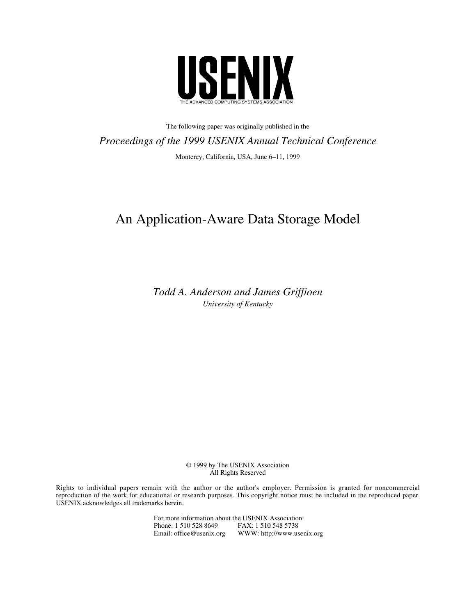

The following paper was originally published in the *Proceedings of the 1999 USENIX Annual Technical Conference* Monterey, California, USA, June 6–11, 1999

# An Application-Aware Data Storage Model

*Todd A. Anderson and James Griffioen University of Kentucky*

> © 1999 by The USENIX Association All Rights Reserved

Rights to individual papers remain with the author or the author's employer. Permission is granted for noncommercial reproduction of the work for educational or research purposes. This copyright notice must be included in the reproduced paper. USENIX acknowledges all trademarks herein.

> For more information about the USENIX Association:<br>Phone: 1 510 528 8649 FAX: 1 510 548 5738 Phone: 1 510 528 8649 FAX: 1 510 548 5738<br>Email: office@usenix.org WWW: http://www.us WWW: http://www.usenix.org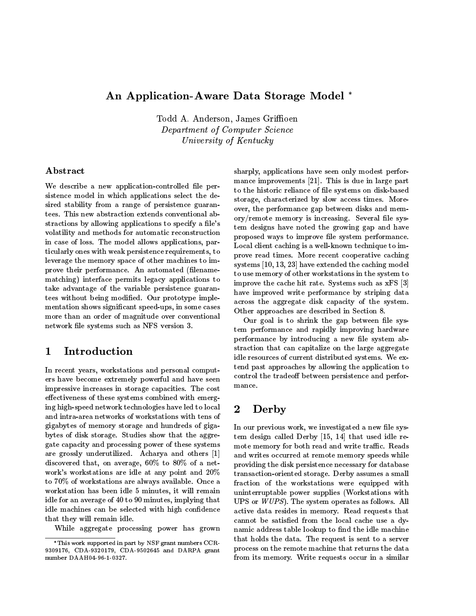### An Application-Aware Data Storage Model

Todd A. Anderson, James Griffioen Department of Computer Science University of Kentucky

### Abstract

We describe a new application-controlled file persistence model in which applications select the desired stability from a range of persistence guarantees. This new abstraction extends conventional abstractions by allowing applications to specify a file's volatility and methods for automatic reconstruction in case of loss. The model allows applications, particularly oneswith weak persistence requirements, to leverage the memory space of other machines to improve their performance. An automated (filenamematching) interface permits legacy applications to take advantage of the variable persistence guarantees without being modied. Our prototype implementation shows signicant speed-ups, in some cases more than an order of magnitude over conventional network file systems such as NFS version 3.

#### $\mathbf 1$ 1 Introduction and the control of the control of the control of the control of the control of the control of t

In recent years, workstations and personal computers have become extremely powerful and have seen impressive increases in storage capacities. The cost effectiveness of these systems combined with emerging high-speed network technologies have led to local and intra-area networks of workstations with tens of gigabytes of memory storage and hundreds of gigabytes of disk storage. Studies show that the aggregate capacity and processing power of these systems are grossly underutilized. Acharya and others [1] discovered that, on average, 60% to 80% of <sup>a</sup> net-work's workstations are idle at any point and 20% to 70% of workstations are always available. Once a workstation has been idle 5 minutes, it will remain idle for an average of 40 to 90 minutes, implying that idle machines can be selected with high confidence that they will remain idle.

While aggregate processing power has grown

sharply, applications have seen only modest performance improvements [21]. This is due in large part to the historic reliance of le systems on disk-based storage, characterized by slow access times. Moreover, the performance gap between disks and memory/remote memory is increasing. Several file system designs have noted the growing gap and have proposed ways to improve le system performance. Local client caching is a well-known technique to improve read times. More recent cooperative caching systems [10,13, 23] have extended the caching model to use memory of other workstations in thesystem to improve the cache hit rate. Systems such as xFS [3] have improved write performance by striping data across the aggregate disk capacity of the system. Other approaches are described in Section 8.

Our goal is to shrink the gap between file system performance and rapidly improving hardware performance by introducing a new file system abstraction that can capitalize on the large aggregate idle resources of current distributed systems. We extend past approaches by allowing the application to control the tradeoff between persistence and performance.

# Derby

In our previous work, we investigated a new file system design called Derby [15, 14] that used idle remote memory for both read and write traffic. Reads and writes occurred at remote memory speeds while providing the disk persistence necessary for database transaction-oriented storage. Derby assumes a small fraction of the workstations were equipped with uninterruptable power supplies (Workstations with UPS or WUPS). The system operates as follows. All active data resides in memory. Read requests that cannot be satisfied from the local cache use a dynamic address table lookup to find the idle machine that holds the data. The request is sent to a server process on the remote machine that returns the data from its memory. Write requests occur in asimilar

This work supported in part by NSF grant numbers CCR-9309176, CDA-9320179, CDA-9502645 and DARPA grant number DAAH04-96-1-0327.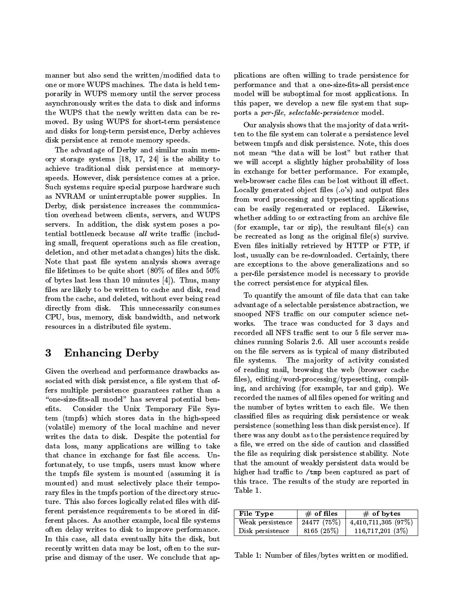manner but also send the written/modified data to one or more WUPS machines. The data is held temporarily in WUPS memory until the server process asynchronously writes the data to disk and informs the WUPS that the newly written data can be removed. By using WUPS for short-term persistence and disks for long-term persistence, Derby achieves disk persistence at remote memory speeds.

The advantage of Derby and similar main memory storage systems [18, 17, 24] is the ability to achieve traditional disk persistence at memoryspeeds. However, disk persistence comes at a price. Such systems require special purpose hardware such as NVRAM or uninterruptable power supplies. In Derby, disk persistence increases the communication overhead between clients, servers, and WUPS servers. In addition, the disk system poses a potential bottleneck because all write traffic (including small, frequent operations such as file creation, deletion, and other metadata changes) hits the disk. Note that past file system analysis shows average file lifetimes to be quite short  $(80\% \text{ of files and } 50\%)$ of bytes last less than 10 minutes [4]). Thus, many files are likely to be written to cache and disk, read from the cache, and deleted, without ever being read directly from disk. This unnecessarily consumes CPU, bus, memory, disk bandwidth, and network resources in a distributed file system.

### 3 **Enhancing Derby** on the file served in the file served on the file served in the file served on the file served on the file served on the file served on the file served on the file served on the file served on the file se

Given the overhead and performance drawbacks associated with disk persistence, a file system that offers multiple persistence guarantees rather than a "one-size-fits-all model" has several potential ben-Consider the Unix Temporary File Sys- $_{\rm e fits.}$ tem (tmpfs) which stores data in the high-speed (volatile) memory of the local machine and never writes the data to disk. Despite the potential for data loss, many applications are willing to take that chance in exchange for fast file access. Unfortunately, to use tmpfs, users must know where the tmpfs file system is mounted (assuming it is mounted) and must selectively place their temporary files in the tmpfs portion of the directory structure. This also forces logically related files with different persistence requirements to be stored in different places. As another example, local file systems often delay writes to disk to improve performance. In this case, all data eventually hits the disk, but recently written data may be lost, often to the surprise and dismay of the user. We conclude that applications are often willing to trade persistence for performance and that a one-size-fits-all persistence model will be suboptimal for most applications. In this paper, we develop a new file system that supports a *per-file, selectable-persistence* model.

 $\rm Our$  analysis shows that the majority of data written to the file system can tolerate a persistence level between tmpfs and disk persistence. Note, this does not mean \the data will be lost" but rather that we will accept a slightly higher probability of loss in exchange for better performance. For example, web-browser cache files can be lost without ill effect. Locally generated object files  $(.o's)$  and output files from word processing and typesetting applications can be easily regenerated or replaced. Likewise, whether adding to or extracting from an archive file (for example, tar or zip), the resultant file(s) can be recreated as long as the original file(s) survive. Even files initially retrieved by HTTP or FTP, if lost, usually can be re-downloaded. Certainly, there are exceptions to the above generalizations and so a per-le persistence model is necessary to provide the correct persistence for atypical files.

To quantify the amount of file data that can take advantage of a selectable persistence abstraction, we snooped NFS traffic on our computer science networks. The trace was conducted for 3 days and recorded all NFS traffic sent to our 5 file server machines running Solaris 2.6. All user accounts reside on the file servers as is typical of many distributed The majority of activity consisted of reading mail, browsing the web (browser cache files), editing/word-processing/typesetting, compiling, and archiving (for example, tar and gzip). We recorded the names of all files opened for writing and the number of bytes written to each file. We then classified files as requiring disk persistence or weak persistence (something less than disk persistence). If there was any doubt as to the persistence required by a file, we erred on the side of caution and classified the file as requiring disk persistence stability. Note that the amount of weakly persistent data would be higher had traffic to /tmp been captured as part of this trace. The results of the study are reported in Table 1.

| File Type        | $\#$ of files | $\#$ of bytes         |
|------------------|---------------|-----------------------|
| Weak persistence | 24477(75%)    | $4,410,711,305$ (97%) |
| Disk persistence | 8165(25%)     | 116,717,201(3%)       |

Table 1: Number of files/bytes written or modified.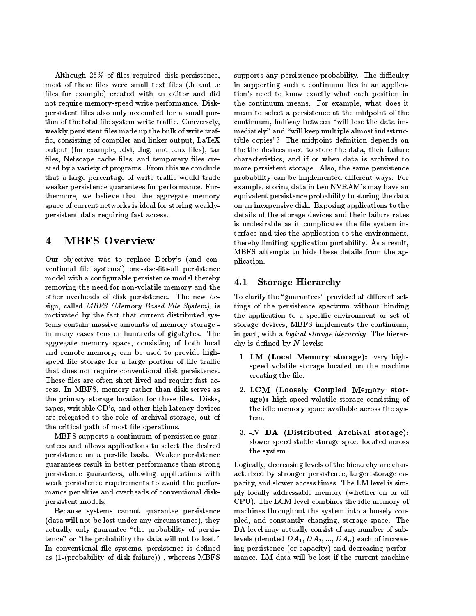Although  $25\%$  of files required disk persistence, most of these files were small text files (.h and .c files for example) created with an editor and did not require memory-speed write performance. Diskpersistent files also only accounted for a small portion of the total file system write traffic. Conversely, weakly persistent files made up the bulk of write traffic, consisting of compiler and linker output, LaTeX output (for example, .dvi, .log, and .aux files), tar files, Netscape cache files, and temporary files created by a variety of programs. From this we conclude that a large percentage of write traffic would trade weaker persistence guarantees for performance. Fur thermore, we believe that the aggregate memory space of current networks is ideal for storing weaklypersistent data requiring fast access.

#### $\overline{\mathbf{4}}$ **MBFS Overview**

Our objective was to replace Derby's (and conventional file systems') one-size-fits-all persistence model with a configurable persistence model thereby  $\mathbf{4.1}$ removing the need for non-volatile memory and the other overheads of disk persistence. The new design, called MBFS (Memory Based File System), is motivated by the fact that current distributed systems contain massive amounts of memory storage in many cases tens or hundreds of gigabytes. The aggregate memory space, consisting of both local and remote memory, can be used to provide highspeed file storage for a large portion of file traffic that does not require conventional disk persistence. These files are often short lived and require fast access. In MBFS, memory rather than disk serves as the primary storage location for these files. Disks, tapes, writable CD's, and other high-latency devices are relegated to the role of archival storage, out of the critical path of most file operations.

MBFS supports a continuum of persistence guarantees and allows applications to select the desired persistence on a per-le basis. Weaker persistence guarantees result in better performance than strong persistence guarantees, allowing applications with weak persistence requirements to avoid the performance penalties and overheads of conventional diskpersistent models.

Because systems cannot guarantee persistence (data will not be lost under any circumstance), they actually only guarantee \the probability of persistence" or "the probability the data will not be lost." In conventional file systems, persistence is defined as (1-(probability of disk failure)) , whereas MBFS

 $\sigma_{\text{H}}$  means the political portability. As a result, supports any persistence probability. The difficulty in supporting such a continuum lies in an application's need to know exactly what each position in the continuum means. For example, what does it mean to select a persistence at the midpoint of the continuum, halfway between \will lose the data immediately" and "will keep multiple almost indestructible copies"? The midpoint definition depends on the the devices used to store the data, their failure characteristics, and if or when data is archived to more persistent storage. Also, the same persistence probability can be implemented different ways. For example, storing data in two NVRAM's may have an equivalent persistence probability to storing the data on an inexpensive disk. Exposing applications to the details of the storage devices and their failure rates is undesirable as it complicates the file system interface and ties the application to the environment, MBFS attempts to hide these details from the application.

### 4.1 Storage Hierarchy

To clarify the "guarantees" provided at different settings of the persistence spectrum without binding the application to a specic environment or set of storage devices, MBFS implements the continuum, in part, with a *logical storage hierarchy*. The hierarchy is defined by  $N$  levels:

- 1. LM (Local Memory storage): very highspeed volatile storage located on the machine creating the file.
- 2. LCM (Loosely Coupled Memory storage): high-speed volatile storage consisting of the idle memory space available across the sys-
- 3.  $-N$  DA (Distributed Archival storage): slower speed stable storage space located across the system.

Logically, decreasing levels of the hierarchy are characterized by stronger persistence, larger storage capacity, and slower access times. The LM level is simply locally addressable memory (whether on or o CPU). The LCM level combines the idle memory of machines throughout the system into a loosely coupled, and constantly changing, storage space. The DA level may actually consist of any number of sublevels (denoted  $DA_1, DA_2, ..., DA_n$ ) each of increasing persistence (or capacity) and decreasing performance. LM data will be lost if the current machine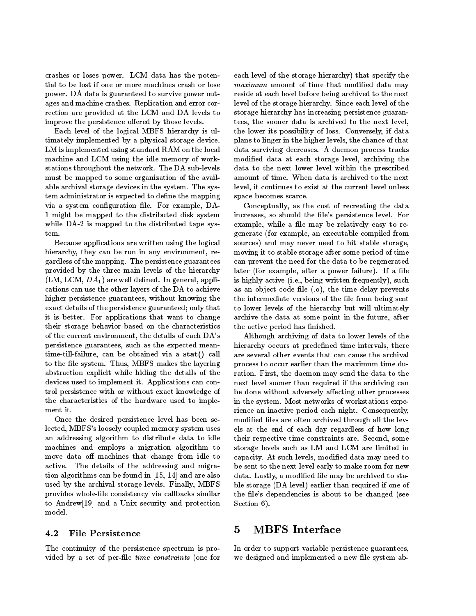crashes or loses power. LCM data has the potential to be lost if one or more machines crash or lose power. DA data is guaranteed to survive power outages and machine crashes. Replication and error correction are provided at the LCM and DA levels to improve the persistence offered by those levels.

Each level of the logical MBFS hierarchy is ultimately implemented by a physical storage device. LM is implemented using standard RAM on the local machine and LCM using the idle memory of workstations throughout the network. The DA sub-levels must be mapped to some organization of the available archival storage devices in the system. The system administrator is expected to define the mapping via a system configuration file. For example, DA-1 might be mapped to the distributed disk system while DA-2 is mapped to the distributed tape system.

Because applications are written using the logical hierarchy, they can be run in any environment, regardless of the mapping. The persistence guarantees provided by the three main levels of the hierarchy  $(LM, LCM, DA<sub>1</sub>)$  are well defined. In general, applications can usethe other layers of the DA to achieve higher persistence guarantees, without knowing the exact details of the persistence guaranteed; only that it is better. For applications that want to change their storage behavior based on the characteristics of the current environment, the details of each DA's persistence guarantees, such as the expected meantime-till-failure, can be obtained via a stat() call to the file system. Thus, MBFS makes the layering abstraction explicit while hiding the details of the devices used to implement it. Applications can control persistence with or without exact knowledge of the characteristics of the hardware used to implement it.

Once the desired persistence level has been selected, MBFS's loosely coupled memory system uses an addressing algorithm to distributedata to idle machines and employs a migration algorithm to move data off machines that change from idle to active. The details of the addressing and migration algorithms can be found in [15, 14] and are also used by the archival storage levels. Finally, MBFS provides whole-file consistency via callbacks similar to Andrew[19] and a Unix security and protection model.

### 4.2 File Persistence

The continuity of the persistence spectrum is provided by a set of per-file *time constraints* (one for

each level of the storage hierarchy) that specify the  $\ldots$  matrix of time that  $\ldots$  and the modified data modified data modified data may be a set of the set of  $\ldots$ reside at each level before being archived to the next level of the storage hierarchy. Since each level of the storage hierarchy has increasing persistence guarantees, the sooner data is archived to the next level, the lower its possibility of loss. Conversely, if data plans to linger in the higher levels, the chance of that data surviving decreases. A daemon process tracks modified data at each storage level, archiving the data to the next lower level within the prescribed amount of time. When data is archived to the next level, it continues to exist at the current level unless space becomes scarce.

Conceptually, as the cost of recreating the data increases, so should the file's persistence level. For example, while a file may be relatively easy to regenerate (for example, an executable compiled from sources) and may never need to hit stable storage, moving it to stable storage after some period of time can prevent the need for the data to be regenerated later (for example, after a power failure). If a file is highly active (i.e., being written frequently), such as an object code file  $(.o)$ , the time delay prevents the intermediate versions of the file from being sent to lower levels of the hierarchy but will ultimately archive the data at some point in the future, after the active period has finished.

Although archiving of data to lower levels of the hierarchy occurs at predefined time intervals, there are several other events that can cause the archival process to occur earlier than the maximum time duration. First, the daemon may send the data to the next level sooner than required if the archiving can be done without adversely affecting other processes in the system. Most networks of workstations experience an inactive period each night. Consequently, modified files are often archived through all the levels at the end of each day regardless of how long their respective time constraints are. Second, some storage levels such as LM and LCM are limited in capacity. At such levels, modied data may need to be sent to the next level early to make room for new data. Lastly, a modified file may be archived to stable storage (DA level) earlier than required if one of the file's dependencies is about to be changed (see Section 6).

#### $\overline{5}$ **MBFS** Interface

In order to support variable persistence guarantees, we designed and implemented a new file system ab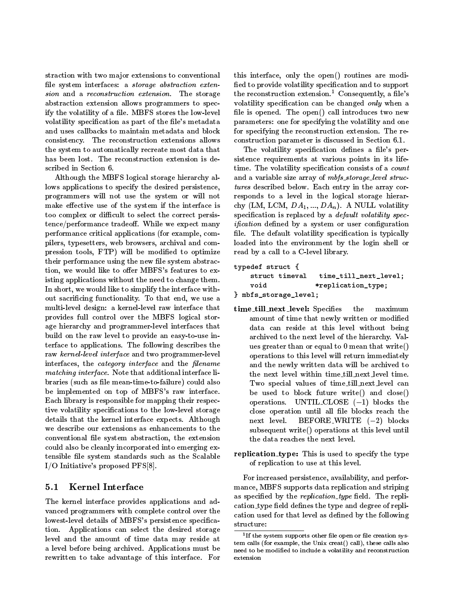straction with two major extensions to conventional file system interfaces: a storage abstraction extension and a reconstruction extension. The storage abstraction extension allows programmers to specify the volatility of a file. MBFS stores the low-level volatility specification as part of the file's metadata and uses callbacks to maintain metadata and block consistency. The reconstruction extensions allows the system to automatically recreate most data that has been lost. The reconstruction extension is de-

Although the MBFS logical storage hierarchy allows applications to specify the desired persistence, programmers will not use the system or will not make effective use of the system if the interface is too complex or difficult to select the correct persistence/performance tradeoff. While we expect many performance critical applications (for example, compilers, typesetters, web browsers,archival and compression tools, FTP) will be modified to optimize their performance using the new file system abstraction, we would like to offer MBFS's features to existing applications without the need to change them. In short, we would like to simplify the interface without sacricing functionality. To that end, we use a multi-level design: a kernel-level raw interface that provides full control over the MBFS logical storage hierarchy and programmer-level interfaces that build on the raw level to provide an easy-to-use interface to applications. The following describes the raw kernel-level interface and two programmer-level interfaces, the *category interface* and the *filename* matching interface. Note that additional interface lines in the line  $\mathcal{N}$ braries (such as le mean-time-to-failure) could also be implemented on top of MBFS's raw interface. Each library is responsible for mapping their respective volatility specifications to the low-level storage details that the kernel interface expects. Although we describe our extensions as enhancements to the conventional le system abstraction, the extension could also be cleanly incorporated into emerging extensible file system standards such as the Scalable I/O Initiative's proposed PFS[8].

### 5.1 Kernel Interface

The kernel interface provides applications and ad vanced programmers with complete control over the lowest-level details of MBFS's persistence specifica-structure: tion. Applications can select the desired storage level and the amount of time data may reside at a level before being archived. Applications must be rewritten to take advantage of this interface. For

this interface, only the open() routines are modi fied to provide volatility specification and to support the reconstruction extension.<sup>1</sup> Consequently, a file's volatility specification can be changed only when a file is opened. The open() call introduces two new parameters: one for specifying the volatility and one for specifying the reconstruction extension. The reconstruction parameter is discussed in Section 6.1.

The volatility specification defines a file's persistence requirements at various points in its lifetime. The volatility specification consists of a *count* and a variable size array of *mbfs\_storage\_level struc*tures described below. Each entry in thearray corresponds to a level in the logical storage hierarchy (LM, LCM,  $DA_1, ..., DA_n$ ). A NULL volatility specification is replaced by a *default volatility spec-* $\alpha$  is a system or a system or user contracting and  $\alpha$ file. The default volatility specification is typically loaded into the environment by the login shell or read by a call to a C-level library.

### typedeficient structure  $\mathbf{r}$  . The structure  $\mathbf{r}$ struct timeval time\_till\_next\_level; \*replication\_type;  $\overline{\phantom{a}}$  , and all  $\overline{\phantom{a}}$  are storaged in the storage in the storage in the storage in the storage in the storage in the storage in the storage in the storage in the storage in the storage in the storage in the st

- time\_till\_next\_level: Specifies the maximum amount of time that newly written or modied data can reside at this level without being archived to the next level of the hierarchy. Values greater than or equal to 0 mean that write() operations to this level will return immediately and the newly written data will be archived to the next level within time till next level time. Two special values of time till next level can be used to block future write() and close() operations. UNTIL CLOSE  $(-1)$  blocks the close operation until all file blocks reach the  $BEFORE-WRITE$   $(-2)$  blocks subsequent write() operations at this level until the data reaches the next level.
- replication\_type: This is used to specify the type of replication to use at this level.

For increased persistence, availability, and performance, MBFS supports data replication and striping as specified by the *replication\_type* field. The replication type field defines the type and degree of replication used for that level as defined by the following

<sup>1</sup> If the system supports other le open or le creation system calls (for example, the Unix creat() call), these calls also need to be modied to include a volatility and reconstruction extension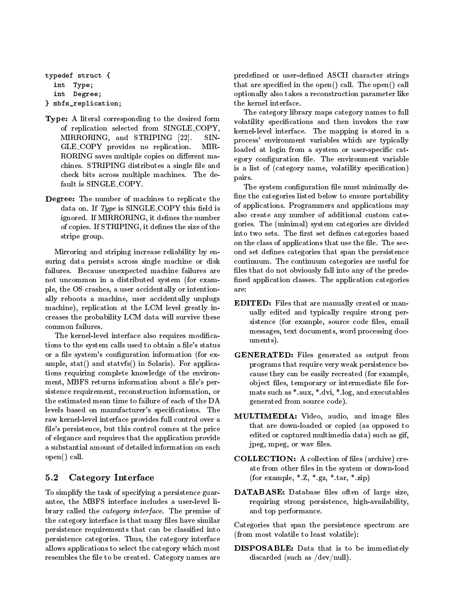```
typedeficient structure \mathbf{r} . The structure \mathbf{r}interesting the contract of the contract of the contract of the contract of the contract of the contract of the contract of the contract of the contract of the contract of the contract of the contract of the contract of th
      int Degree;
```
Type: A literal corresponding to the desired form of replication selected from SINGLE COPY, MIRRORING, and STRIPING [22]. SIN-GLE COPY provides no replication.  $\rm{MIR}$ RORING saves multiple copies on different machines. STRIPING distributes a single file and check bits across multiple machines. The default is SINGLE COPY.

 $\overline{\phantom{a}}$  , and a point  $\overline{\phantom{a}}$  , and  $\overline{\phantom{a}}$  , and  $\overline{\phantom{a}}$  , and  $\overline{\phantom{a}}$  , and  $\overline{\phantom{a}}$  , and  $\overline{\phantom{a}}$  , and  $\overline{\phantom{a}}$  , and  $\overline{\phantom{a}}$  , and  $\overline{\phantom{a}}$  , and  $\overline{\phantom{a}}$  , and  $\overline{\phantom{a}}$  , a

Degree: The number of machines to replicate the data on. If  $Type$  is SINGLE COPY this field is ignored. If MIRRORING, it defines the number of copies. If STRIPING, it defines the size of the stripe group.

Mirroring and striping increase reliability by ensuring data persists across single machine or disk failures. Because unexpected machine failures are not uncommon in a distributed system (for example, the OS crashes, a user accidentally or intentionally reboots a machine, user accidentally unplugs machine), replication at the LCM level greatly increases the probability LCM data will survive these

The kernel-level interface also requires modications to the system calls used to obtain a file's status or a file system's configuration information (for example, stat() and statvfs() in Solaris). For applications requiring complete knowledge of the environment, MBFS returns information about a file's persistence requirement, reconstruction information, or the estimated mean time to failure of each of the DA levels based on manufacturer's specifications. The raw kernel-level interface provides full control over a file's persistence, but this control comes at the price of elegance and requires that the application provide a substantial amount of detailed information on each open() call.

## 5.2 Category Interface

To simplify the task of specifying a persistence guarantee, the MBFS interface includes a user-level library called the category interface. The premise of the category interface is that many files have similar persistence requirements that can be classied into persistence categories. Thus, the category interface allows applications to select the category which most resembles the file to be created. Category names are predefined or user-defined ASCII character strings that are specified in the open $()$  call. The open $()$  call optionally also takes a reconstruction parameter like the kernel interface.

The category library maps category names to full volatility specications and then invokes the raw kernel-level interface. The mapping is stored in a process' environment variables which are typically loaded at login from a system or user-specific category configuration file. The environment variable is a list of (category name, volatility specification) pairs.

The system configuration file must minimally define the categories listed below to ensure portability of applications. Programmers and applications may also create any number of additional custom categories. The (minimal) system categories are divided into two sets. The first set defines categories based on the class of applications that use the file. The second set defines categories that span the persistence continuum. The continuum categories are useful for files that do not obviously fall into any of the predefined application classes. The application categories are:

- EDITED: Files that are manually created or manually edited and typically require strong persistence (for example, source code files, email messages, text documents, word processing documents).
- GENERATED: Files generated as output from programs that require very weak persistence because they can be easily recreated (for example, object files, temporary or intermediate file formats such as \*.aux, \*.dvi, \*.log, and executables generated from source code).
- MULTIMEDIA: Video, audio, and image files that are down-loaded or copied (as opposed to edited or captured multimedia data) such as gif, jpeg, mpeg, or wav files.
- COLLECTION: A collection of files (archive) create from other files in the system or down-load (for example,  $^*.\mathbf{Z}, ^*.\mathbf{gz}, ^*.\mathbf{tar}, ^*.\mathbf{zip})$
- DATABASE: Database files often of large size, requiring strong persistence, high-availability, and top performance.

Categories that span the persistence spectrum are (from most volatile to least volatile):

DISPOSABLE: Data that is to be immediately discarded (such as /dev/null).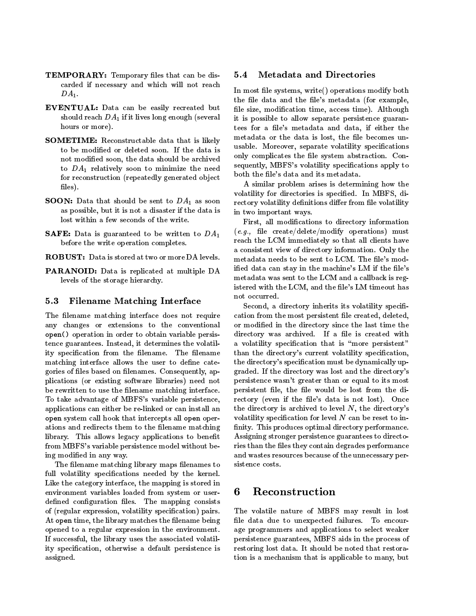- TEMPORARY: Temporary files that can be discarded if necessary and which will not reach  $DA<sub>1</sub>$ .
- EVENTUAL: Data can be easily recreated but should reach  $DA_1$  if it lives long enough (several hours or more).
- SOMETIME: Reconstructable data that is likely to be modied or deleted soon. If the data is not modied soon, the data should be archived to  $DA_1$  relatively soon to minimize the need for reconstruction (repeatedly generated object files).
- **SOON:** Data that should be sent to  $DA_1$  as soon as possible, but it is not a disaster if the data is
- **SAFE:** Data is guaranteed to be written to  $DA_1$ before the write operation completes.
- ROBUST: Data is stored at two or more DA levels.
- PARANOID: Data is replicated at multiple DA levels of the storage hierarchy.

#### $5.3$ Filename Matching Interface

The filename matching interface does not require any changes or extensions to the conventional open() operation in order to obtain variable persistence guarantees. Instead, it determines the volatility specification from the filename. The filename matching interface allows the user to define categories of files based on filenames. Consequently, applications (or existing software libraries) need not be rewritten to use the filename matching interface. To take advantage of MBFS's variable persistence, applications can either be re-linked or can install an open system call hook that intercepts all open operations and redirects them to the filename matching library. This allows legacy applications to benefit from MBFS's variable persistence model without being modied in any way.

The filename matching library maps filenames to full volatility specifications needed by the kernel. Like the category interface, the mapping is stored in environment variables loaded from system or user- 6 Reconstruction defined configuration files. The mapping consists of (regular expression, volatility specication) pairs. At open time, the library matches the filename being opened to a regular expression in the environment. If successful, the library uses the associated volatility specification, otherwise a default persistence is assigned.

#### **Metadata and Directories**  $5.4$

In most le systems, write() operations modify both the file data and the file's metadata (for example, file size, modification time, access time). Although it is possible to allow separate persistence guarantees for a file's metadata and data, if either the metadata or the data is lost, the file becomes unusable. Moreover, separate volatility specifications only complicates the file system abstraction. Consequently, MBFS's volatility specifications apply to both the file's data and its metadata.

A similar problem arises is determining how the volatility for directories is specied. In MBFS, directory volatility definitions differ from file volatility in two important ways.

First, all modications to directory information  $(e.g.,$  file create/delete/modify operations) must reach the LCM immediately so that all clients have a consistent view of directory information. Only the metadata needs to be sent to LCM. The file's modified data can stay in the machine's LM if the file's metadata was sent to the LCM and a callback is registered with the LCM, and the file's LM timeout has not occurred.

Second, a directory inherits its volatility specification from the most persistent file created, deleted, or modied in the directory since the last time the directory was archived. If a file is created with a volatility specification that is "more persistent" than the directory's current volatility specification, the directory's specication must be dynamically upgraded. If the directory was lost and thedirectory's persistence wasn't greater than or equal to its most persistent file, the file would be lost from the directory (even if the file's data is not lost). Once the directory is archived to level  $N$ , the directory's volatility specification for level  $N$  can be reset to infinity. This produces optimal directory performance. Assigning stronger persistence guarantees to directories than the files they contain degrades performance and wastes resources because of the unnecessary persistence costs.

The volatile nature of MBFS may result in lost file data due to unexpected failures. To encourage programmers and applications to select weaker persistence guarantees, MBFS aids in theprocess of restoring lost data. It should be noted that restoration is a mechanism that is applicable to many, but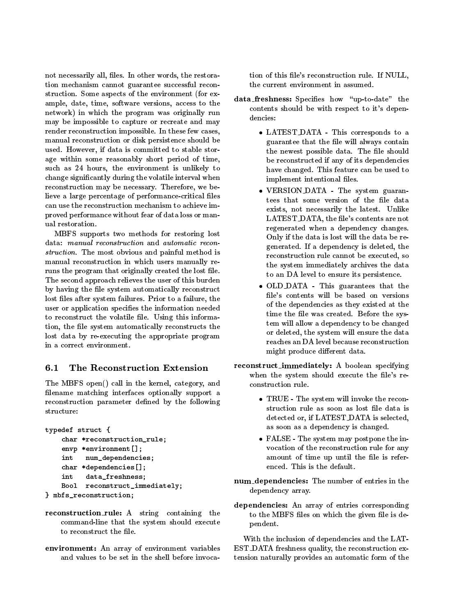not necessarily all, files. In other words, the restoration mechanism cannot guarantee successful reconstruction. Some aspects of the environment (for example, date, time, software versions, access to the network) in which the program was originally run dencies: may be impossible to capture or recreate and may render reconstruction impossible. In these few cases, manual reconstruction or disk persistence should be used. However, if data is committed to stable storage within some reasonably short period of time, such as 24 hours, the environment is unlikely to change signicantly during the volatile interval when reconstruction may be necessary. Therefore, we believe a large percentage of performance-critical files can use the reconstruction mechanism to achieve improved performance without fear of data loss or manual restoration.

MBFS supports two methods for restoring lost data: manual reconstruction and automatic recon struction. The most obvious and painful method is manual reconstruction in which users manually reruns the program that originally created the lost file. The second approach relieves the user of this burden by having the file system automatically reconstruct lost files after system failures. Prior to a failure, the user or application specifies the information needed to reconstruct the volatile file. Using this information, the file system automatically reconstructs the lost data by re-executing the appropriate program in a correct environment.

#### The Reconstruction Extension  $6.1$

The MBFS open() call in the kernel, category, and filename matching interfaces optionally support a reconstruction parameter defined by the following structure:

```
typedefects the structure \mathbf{r}charged the charge of the construction of the construction of the construction of the construction of the construction of the construction of the construction of the construction of the construction of the construction of 
          envo<sub>ronment</sub> and the environment \mathbf{y}int num_dependencies;
          charged the process control of the property of the control of the control of the control of the control of the control of the control of the control of the control of the control of the control of the control of the contro
         int data_freshness;
          Bool reconstruct_immediately;
\mathcal{L} matrix \mathcal{L} reconstruction; the construction of \mathcal{L}
```
- reconstruction rule: A string containing the command-line that the system should execute to reconstruct the file.
- environment: An array of environment variables and values to be set in the shell before invoca-

tion of this file's reconstruction rule. If NULL, the current environment in assumed.

- data\_freshness: Specifies how "up-to-date" the contents should be with respect to it's depen-
	- LATEST DATA This corresponds to a guarantee that the file will always contain the newest possible data. The file should be reconstructed if any of its dependencies have changed. This feature can be used to implement intentional files.
	- $\mathbf{v} = \mathbf{v}$  ,  $\mathbf{v} = \mathbf{v}$  . The set system guarant  $\mathbf{v}$ tees that some version of the file data exists, not necessarily the latest. Unlike LATEST\_DATA, the file's contents are not regenerated when a dependency changes. Only if the data is lost will the data be regenerated. If a dependency is deleted, the reconstruction rule cannot be executed, so the system immediately archives the data to an DA level to ensure its persistence.
	- OLD DATA This guarantees that the file's contents will be based on versions of the dependencies as they existed at the time the file was created. Before the system will allow adependency to be changed or deleted, the system will ensure the data reaches an DA level because reconstruction might produce different data.
- when the system should execute the file's rereconstruct immediately: A boolean specifying
	- TRUE The system will invoke the reconstruction rule as soon as lost file data is detected or, if LATEST DATA is selected, as soon as a dependency is changed.
	- FALSE The system may postpone the in vocation of the reconstruction rule for any amount of time up until the file is referenced. This is the default.
	- num dependencies: The number of entries in the dependency array.
	- dependencies: An array of entries corresponding to the MBFS files on which the given file is dependent.

With the inclusion of dependencies and the LAT-EST DATA freshness quality, the reconstruction extension naturally provides an automatic form of the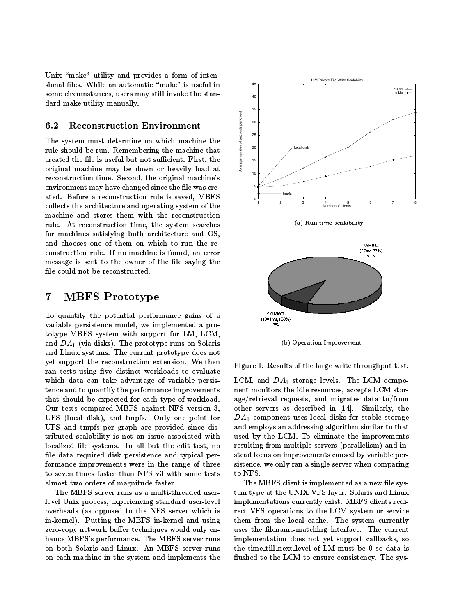Unix "make" utility and provides a form of intensional files. While an automatic "make" is useful in some circumstances, users may still invoke the standard make utility manually.

### $6.2$

**Reconstruction Environment**<br>stem must determine on which machine the<br>ould be run. Remembering the machine that<br>the file is useful but not sufficient. First, the<br>l machine may be down or heavily load at The system must determine on which machine the rule should be run. Remembering the machine that created the file is useful but not sufficient. First, the original machine may be down or heavily load at reconstruction time. Second, the original machine's environment may have changed since the file was created. Before a reconstruction rule is saved, MBFS collects the architecture and operating system of the machine and stores them with the reconstruction rule. At reconstruction time, the system searches for machines satisfying both architecture and OS, and chooses one of them on which to run the reconstruction rule. If no machine is found, an error message is sent to the owner of the file saying the file could not be reconstructed.

### $\overline{7}$ **MBFS** Prototype

To quantify the potential performance gains of a  $\frac{1}{(1661 \text{ms}, 100\%)}$ variable persistence model, we implemented a prototype MBFS system with support for LM, LCM, and  $DA<sub>1</sub>$  (via disks). The prototype runs on Solaris and Linux systems.The current prototype does not yet support the reconstruction extension. We then ran tests using five distinct workloads to evaluate which data can take advantage of variable persistence and to quantify the performance improvements that should be expected for each type of workload. Our tests compared MBFS against NFS version 3, UFS (local disk), and tmpfs. Only one point for UFS and tmpfs per graph are provided since distributed scalability is not an issue associated with localized file systems. In all but the edit test, no file data required disk persistence and typical performance improvements were in the range of three to seven times faster than NFS v3 with some tests almost two orders of magnitude faster.

The MBFS server runs as a multi-threaded userlevel Unix process, experiencing standard user-level overheads (as opposed to the NFS server which is in-kernel). Putting the MBFS in-kernel and using zero-copy network buffer techniques would only enhance MBFS's performance. The MBFS server runs on both Solaris and Linux. An MBFS server runs on each machine in the system and implements the



(b) Operation Improvement

Figure 1: Results of the large write throughput test.

LCM, and  $DA_1$  storage levels. The LCM component monitors the idle resources, accepts LCM storage/retrieval requests, and migrates data to/from other servers as described in [14]. Similarly, the  $DA<sub>1</sub>$  component uses local disks for stable storage and employs an addressing algorithm similar to that used by the LCM. To eliminate the improvements resulting from multiple servers (parallelism) and instead focus on improvements caused by variable persistence, we only ran asingle server when comparing to NFS.

The MBFS client is implemented as a new file system type at the UNIX VFS layer. Solaris and Linux implementations currently exist. MBFS clients redirect VFS operations to the LCM system or service them from the local cache. The system currently uses the filename-matching interface. The current implementation does not yet support callbacks, so the time till next level of LM must be <sup>0</sup> so data is flushed to the LCM to ensure consistency. The sys-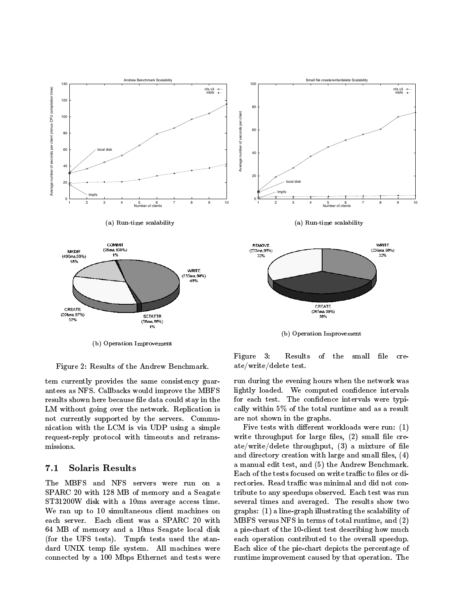

Figure 2: Results of the Andrew Benchmark.

tem currently provides the same consistency guarantees as NFS. Callbacks would improve the MBFS results shown here because file data could stay in the LM without going over the network. Replication is not currently supported by the servers. Commu nication with the LCM is via UDP using a simple request-reply protocol with timeouts and retransmissions.

#### $7.1$ Solaris Results

The MBFS and NFS servers were run on a SPARC 20 with 128 MB of memory and a Seagate ST31200W disk with a 10ms average access time. We ran up to 10 simultaneous client machines on each server. Each client was a SPARC 20 with 64 MB of memory and a 10ms Seagate local disk (for the UFS tests). Tmpfs tests used the standard UNIX temp file system. All machines were connected by a 100 Mbps Ethernet and tests were

Figure 3: Results of the small file  $_{\rm cre}$ ate/write/delete test.

run during the evening hours when the network was lightly loaded. We computed confidence intervals for each test. The confidence intervals were typically within 5% of the total runtime and as a result are not shown in thegraphs.

Five tests with different workloads were run:  $(1)$ write throughput for large files,  $(2)$  small file create/write/delete throughput,  $(3)$  a mixture of file and directory creation with large and small files,  $(4)$ a manualedit test, and (5) the Andrew Benchmark. Each of the tests focused on write traffic to files or directories. Read traffic was minimal and did not contribute to any speedups observed. Each test was run several times and averaged. The results show two graphs: (1) a line-graph illustrating the scalability of MBFS versus NFS in terms of total runtime, and  $(2)$ a pie-chart of the 10-client test describing how much each operation contributed to the overall speedup. Each slice of the pie-chart depicts the percentage of runtime improvement caused by that operation. The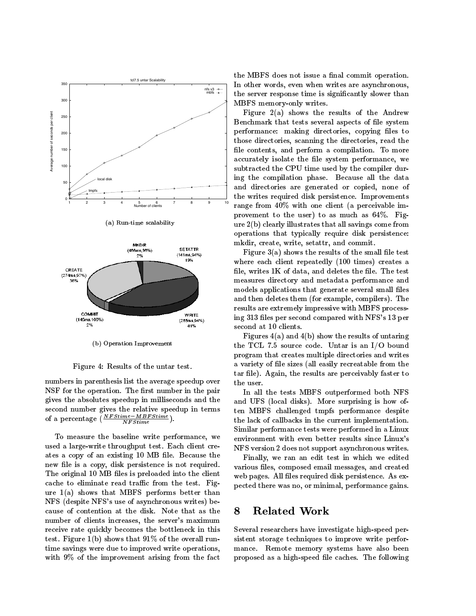

(b) Operation Improvement

Figure 4: Results of the untar test.

numbers in parenthesis list the average speedup over the user. NSF for the operation. The first number in the pair gives the absolutes speedup in milliseconds and the second number gives the relative speedup in terms of a percentage  $\left(\frac{NTStime}{NFStime}\right)$ .

To measure the baseline write performance, we used alarge-write throughput test. Each client creates a copy of an existing 10 MB file. Because the new file is a copy, disk persistence is not required. The original 10 MB files is preloaded into the client cache to eliminate read traffic from the test. Figure  $1(a)$  shows that MBFS performs better than NFS (despite NFS's use of asynchronous writes) because of contention at the disk. Note that as the  $\,8\,$  Related Work number of clients increases, the server's maximum receive rate quickly becomes the bottleneck in this test. Figure  $1(b)$  shows that  $91\%$  of the overall runtime savings were due to improved write operations, with 9% of the improvement arising from the fact

the MBFS does not issue a final commit operation. In other words, even when writes are asynchronous, the server response time is signicantly slower than MBFS memory-only writes.

Figure 2(a) shows the results of the Andrew Benchmark that tests several aspects of file system performance: making directories, copying files to those directories, scanning the directories, read the file contents, and perform a compilation. To more accurately isolate the file system performance, we subtracted the CPU time used by the compiler during the compilation phase. Because all the data and directories are generated or copied, none of the writes required disk persistence. Improvements range from 40% with one client (a perceivable improvement to the user) to as much as 64%. Figure 2(b) clearly illustrates that all savings come from operations that typically require disk persistence: mkdir, create, write, setattr, and commit.

Figure  $3(a)$  shows the results of the small file test where each client repeatedly (100 times) creates a file, writes  $1K$  of data, and deletes the file. The test measures directory and metadata performance and models applications that generate several small files and then deletes them (for example, compilers). The results are extremely impressive with MBFS processing 313 les per second compared with NFS's 13 per second at 10 clients.

Figures  $4(a)$  and  $4(b)$  show the results of untaring the TCL 7.5 source code. Untar is an I/O bound program that creates multiple directories and writes a variety of file sizes (all easily recreatable from the tar file). Again, the results are perceivably faster to

In all the tests MBFS outperformed both NFS and UFS (local disks). More surprising is how often MBFS challenged tmpfs performance despite the lack of callbacks in the current implementation. Similar performance tests were performed in a Linux environment with even better results since Linux's NFS version 2 does not support asynchronous writes.

Finally, we ran an edit test in which we edited various files, composed email messages, and created web pages. All files required disk persistence. As expected there was no, or minimal, performance gains.

Several researchers have investigate high-speed persistent storage techniques to improve write performance. Remote memory systems have also been proposed as a high-speed file caches. The following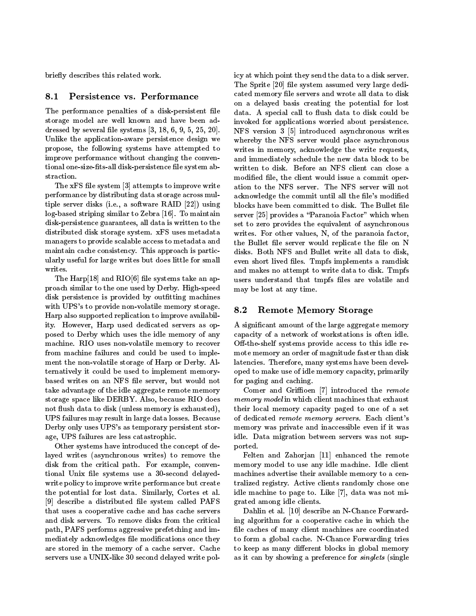briefly describes this related work.

#### Persistence vs. Performance 8.1

The performance penalties of a disk-persistent file storage model are well known and have been addressed by several file systems  $[3, 18, 6, 9, 5, 25, 20]$ . Unlike the application-aware persistence design we propose, the following systems have attempted to improve performance without changing the conventional one-size-fits-all disk-persistence file system abstraction.

The xFS file system [3] attempts to improve write performance by distributing data storage across multiple server disks (i.e., a software RAID [22]) using log-based striping similar to Zebra [16]. To maintain disk-persistence guarantees, all data is written to the distributed disk storage system. xFS uses metadata managers to provide scalable access to metadata and maintain cache consistency. This approach is particularly useful for large writes but does little for small

The  $\text{Harp}[18]$  and  $\text{RIO}[6]$  file systems take an approach similar to the one used by Derby. High-speed disk persistence is provided by outfitting machines with UPS's to provide non-volatile memory storage. 8.2 Harp also supported replication to improve availability. However, Harp used dedicated servers as opposed to Derby which uses the idle memory of any machine. RIO uses non-volatile memory to recover from machine failures and could be used to implement the non-volatile storage of Harp or Derby. Alternatively it could be used to implement memorybased writes on an NFS file server, but would not take advantage of the idle aggregate remote memory storage space like DERBY. Also, because RIO does not flush data to disk (unless memory is exhausted), UPS failures may result in large data losses. Because Derby only uses UPS's as temporary persistent storage, UPS failures are less catastrophic.

Other systems have introduced the concept of delayed writes (asynchronous writes) to remove the disk from the critical path. For example, conventional Unix file systems use a 30-second delayedwrite policy to improve write performance but create the potential for lost data. Similarly, Cortes et al. [9] describe a distributed file system called PAFS that uses a cooperative cache and has cache servers and disk servers. To remove disks from the critical path, PAFS performs aggressive prefetching and immediately acknowledges file modifications once they are stored in thememory of a cache server. Cache servers use a UNIX-like 30 second delayed write policy at which point they send the data to a disk server. The Sprite [20] file system assumed very large dedicated memory file servers and wrote all data to disk on a delayed basis creating the potential for lost data. A special call to flush data to disk could be invoked for applications worried about persistence. NFS version 3 [5] introduced asynchronous writes whereby the NFS server would place asynchronous writes in memory, acknowledge the write requests, and immediately schedule the new data block to be written to disk. Before an NFS client can close a modified file, the client would issue a commit operation to the NFS server. The NFS server will not acknowledge the commit until all the file's modified blocks have been committed to disk. The Bullet file server  $[25]$  provides a "Paranoia Factor" which when set to zero provides the equivalent of asynchronous writes. For other values, N, of the paranoia factor, the Bullet file server would replicate the file on N disks. Both NFS and Bullet write all data to disk, even short lived files. Tmpfs implements a ramdisk and makes no attempt to write data to disk.Tmpfs users understand that tmpfs files are volatile and may be lost at any time.

### **Remote Memory Storage**

A signicant amount of the large aggregate memory capacity of a network of workstations is often idle. Off-the-shelf systems provide access to this idle remote memory an order of magnitude faster than disk latencies. Therefore, many systems have been developed to make use of idle memory capacity, primarily for paging and caching.

Comer and Griffioen  $|7|$  introduced the remote memory model in which client machines that is a constructed machines that exhaust that exhaust the construction their local memory capacity paged to one of a set of dedicated remote memory servers. Each client's memory was private and inaccessible even if it was idle. Data migration between servers was not supported.

Felten and Zahorjan [11] enhanced the remote memory model to use any idle machine. Idle client machines advertise their available memory to a centralized registry. Active clients randomly chose one idle machine to page to. Like [7], data was not migrated among idle clients.

Dahlin et al. [10] describe an N-Chance Forwarding algorithm for a cooperative cache in which the file caches of many client machines are coordinated to form a global cache. N-Chance Forwarding tries to keep as many different blocks in global memory as it can by showing a preference for *singlets* (single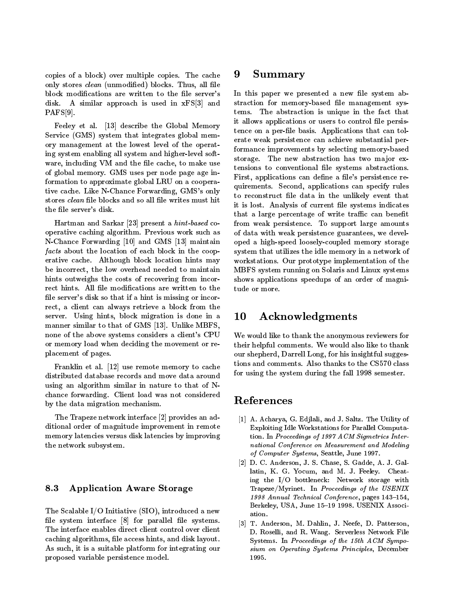copies of a block) over multiple copies. The cache only stores *clean* (unmodified) blocks. Thus, all file block modifications are written to the file server's disk. A similar approach is used in xFS[3] and PAFS[9].

Feeley et al. [13] describe the Global Memory Service  $(GMS)$  system that integrates global memory management at the lowest level of the operating system enabling all system and higher-level soft ware, including VM and the file cache, to make use of global memory. GMS uses per node page age information to approximate global LRU on a cooperative cache. Like N-Chance Forwarding, GMS's only stores clean file blocks and so all file writes must hit the file server's disk.

Hartman and Sarkar [23] present a hint-based cooperative caching algorithm. Previous work such as N-Chance Forwarding [10] and GMS [13] maintain facts about the location of each block in the cooperation of  $\mathcal{C}$ erative cache. Although block location hintsmay be incorrect, the low overhead needed to maintain hints outweighs the costs of recovering from incorrect hints. All file modifications are written to the tude or more. file server's disk so that if a hint is missing or incorrect, a client can always retrieve a block from the server. Using hints, block migration is done in a 10 manner similar to that of GMS [13]. Unlike MBFS, none of the above systems considers a client's CPU or memory load when deciding the movement or replacement of pages.

Franklin et al. [12] use remote memory to cache distributed database records and move data around using an algorithm similar in nature to that of Nchance forwarding. Client load was not considered by the data migration mechanism.

The Trapeze network interface [2] provides an additional order of magnitude improvement in remote memory latencies versus disk latencies by improving the network subsystem.

### 8.3 Application Aware Storage

The Scalable I/O Initiative (SIO), introduced a new file system interface  $[8]$  for parallel file systems. The interface enables direct client control over client caching algorithms, file access hints, and disk layout. As such, it is a suitable platform for integrating our proposed variable persistence model.

#### 9 9 Summary

In this paper we presented a new file system abstraction for memory-based file management systems. The abstraction is unique in the fact that it allows applications or users to control file persistence on a per-file basis. Applications that can tolerate weak persistence can achieve substantial performance improvements by selecting memory-based storage. The new abstraction has two major extensions to conventional file systems abstractions. First, applications can define a file's persistence requirements. Second, applications can specify rules to reconstruct le data in the unlikely event that it is lost. Analysis of current le systems indicates that a large percentage of write traffic can benefit from weak persistence. To support large amounts of data with weak persistence guarantees, we developed ahigh-speed loosely-coupled memory storage system that utilizes the idle memory in anetwork of workstations. Our prototype implementation of the MBFS system running on Solaris and Linux systems shows applications speedups of an order of magni-

## Acknowledgments

We would like to thank the anonymous reviewers for their helpful comments. We would also like to thank our shepherd, Darrell Long, for his insightful suggestions and comments. Also thanks to the CS570 class for using the system during the fall 1998 semester.

### References

- [1] A. Acharya, G. Edjlali, and J. Saltz. The Utility of Exploiting Idle Workstations for Parallel Computation. In Proceedings of 1997 ACM Sigmetrics International Conference on Measurement and Modeling of Computer Systems, Seattle, June 1997.
- [2] D. C. Anderson, J. S. Chase, S. Gadde, A. J. Gallatin, K. G. Yocum, and M. J. Feeley. Cheating the I/O bottleneck: Network storage with Trapeze/Myrinet. In Proceedings of the USENIX 1998 Annual Technical Conference, pages 143-154, Berkeley, USA, June 15-19 1998. USENIX Association.
- [3] T. Anderson, M. Dahlin, J. Neefe, D. Patterson, D. Roselli, and R. Wang. Serverless Network File Systems. In Proceedings of the 15th ACM Sympo sium on Operating Systems Principles, December 1995.